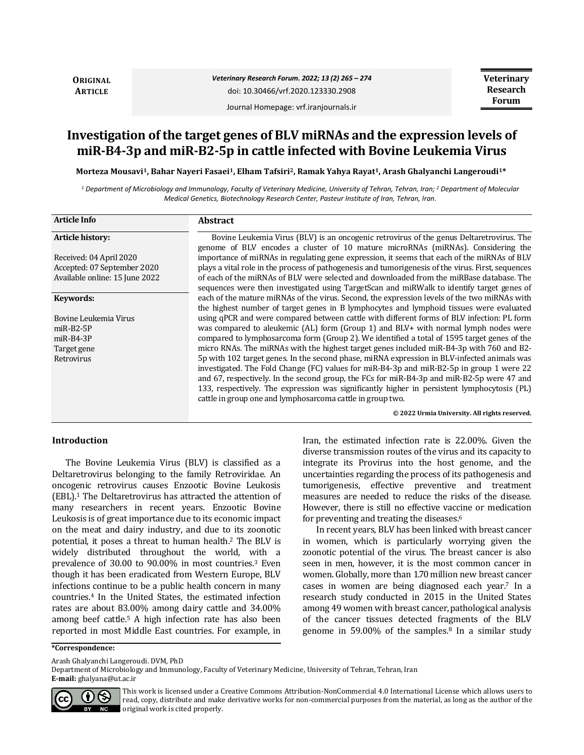**ORIGINAL ARTICLE**

*Veterinary Research Forum. 2022; 13 (2) 265 – 274* doi: 10.30466/vrf.2020.123330.2908

Journal Homepage: vrf.iranjournals.ir

**Veterinary Research Forum**

**Investigation of the target genes of BLV miRNAs and the expression levels of miR-B4-3p and miR-B2-5p in cattle infected with Bovine Leukemia Virus**

**Morteza Mousavi1, Bahar Nayeri Fasaei1, Elham Tafsiri2, Ramak Yahya Rayat1, Arash Ghalyanchi Langeroudi1\***

*<sup>1</sup> Department of Microbiology and Immunology, Faculty of Veterinary Medicine, University of Tehran, Tehran, Iran; <sup>2</sup> Department of Molecular Medical Genetics, Biotechnology Research Center, Pasteur Institute of Iran, Tehran, Iran.*

| <b>Article Info</b>            | Abstract                                                                                                                                                                                                                                                                                                                                                                                                                                           |
|--------------------------------|----------------------------------------------------------------------------------------------------------------------------------------------------------------------------------------------------------------------------------------------------------------------------------------------------------------------------------------------------------------------------------------------------------------------------------------------------|
| <b>Article history:</b>        | Bovine Leukemia Virus (BLV) is an oncogenic retrovirus of the genus Deltaretrovirus. The<br>genome of BLV encodes a cluster of 10 mature microRNAs (miRNAs). Considering the                                                                                                                                                                                                                                                                       |
| Received: 04 April 2020        | importance of miRNAs in regulating gene expression, it seems that each of the miRNAs of BLV                                                                                                                                                                                                                                                                                                                                                        |
| Accepted: 07 September 2020    | plays a vital role in the process of pathogenesis and tumorigenesis of the virus. First, sequences                                                                                                                                                                                                                                                                                                                                                 |
| Available online: 15 June 2022 | of each of the miRNAs of BLV were selected and downloaded from the miRBase database. The                                                                                                                                                                                                                                                                                                                                                           |
|                                | sequences were then investigated using TargetScan and miRWalk to identify target genes of                                                                                                                                                                                                                                                                                                                                                          |
| Keywords:                      | each of the mature miRNAs of the virus. Second, the expression levels of the two miRNAs with<br>the highest number of target genes in B lymphocytes and lymphoid tissues were evaluated                                                                                                                                                                                                                                                            |
| Bovine Leukemia Virus          | using qPCR and were compared between cattle with different forms of BLV infection: PL form                                                                                                                                                                                                                                                                                                                                                         |
| $miR-B2-5P$                    | was compared to aleukemic (AL) form (Group 1) and BLV+ with normal lymph nodes were                                                                                                                                                                                                                                                                                                                                                                |
| $miR-B4-3P$                    | compared to lymphosarcoma form (Group 2). We identified a total of 1595 target genes of the                                                                                                                                                                                                                                                                                                                                                        |
| Target gene                    | micro RNAs. The miRNAs with the highest target genes included miR-B4-3p with 760 and B2-                                                                                                                                                                                                                                                                                                                                                           |
| Retrovirus                     | 5p with 102 target genes. In the second phase, miRNA expression in BLV-infected animals was<br>investigated. The Fold Change (FC) values for miR-B4-3p and miR-B2-5p in group 1 were 22<br>and 67, respectively. In the second group, the FCs for miR-B4-3p and miR-B2-5p were 47 and<br>133, respectively. The expression was significantly higher in persistent lymphocytosis (PL)<br>cattle in group one and lymphosarcoma cattle in group two. |
|                                | © 2022 Urmia University. All rights reserved.                                                                                                                                                                                                                                                                                                                                                                                                      |

### **Introduction**

The Bovine Leukemia Virus (BLV) is classified as a Deltaretrovirus belonging to the family Retroviridae. An oncogenic retrovirus causes Enzootic Bovine Leukosis (EBL).<sup>1</sup> The Deltaretrovirus has attracted the attention of many researchers in recent years. Enzootic Bovine Leukosis is of great importance due to its economic impact on the meat and dairy industry, and due to its zoonotic potential, it poses a threat to human health.<sup>2</sup> The BLV is widely distributed throughout the world, with a prevalence of 30.00 to 90.00% in most countries.<sup>3</sup> Even though it has been eradicated from Western Europe, BLV infections continue to be a public health concern in many countries.<sup>4</sup> In the United States, the estimated infection rates are about 83.00% among dairy cattle and 34.00% among beef cattle.<sup>5</sup> A high infection rate has also been reported in most Middle East countries. For example, in Iran, the estimated infection rate is 22.00%. Given the diverse transmission routes of the virus and its capacity to integrate its Provirus into the host genome, and the uncertainties regarding the process of its pathogenesis and tumorigenesis, effective preventive and treatment measures are needed to reduce the risks of the disease. However, there is still no effective vaccine or medication for preventing and treating the diseases.<sup>6</sup>

In recent years, BLV has been linked with breast cancer in women, which is particularly worrying given the zoonotic potential of the virus. The breast cancer is also seen in men, however, it is the most common cancer in women. Globally, more than 1.70 million new breast cancer cases in women are being diagnosed each year.<sup>7</sup> In a research study conducted in 2015 in the United States among 49 women with breast cancer, pathological analysis of the cancer tissues detected fragments of the BLV genome in 59.00% of the samples.<sup>8</sup> In a similar study

**\*Correspondence:**

Arash Ghalyanchi Langeroudi. DVM, PhD

Department of Microbiology and Immunology, Faculty of Veterinary Medicine, University of Tehran, Tehran, Iran



**E-mail:** ghalyana@ut.ac.ir

This work is licensed under a [Creative Commons Attribution-NonCommercial 4.0 International License](http://creativecommons.org/licenses/by-nc/4.0/) which allows users to read, copy, distribute and make derivative works for non-commercial purposes from the material, as long as the author of the original work is cited properly.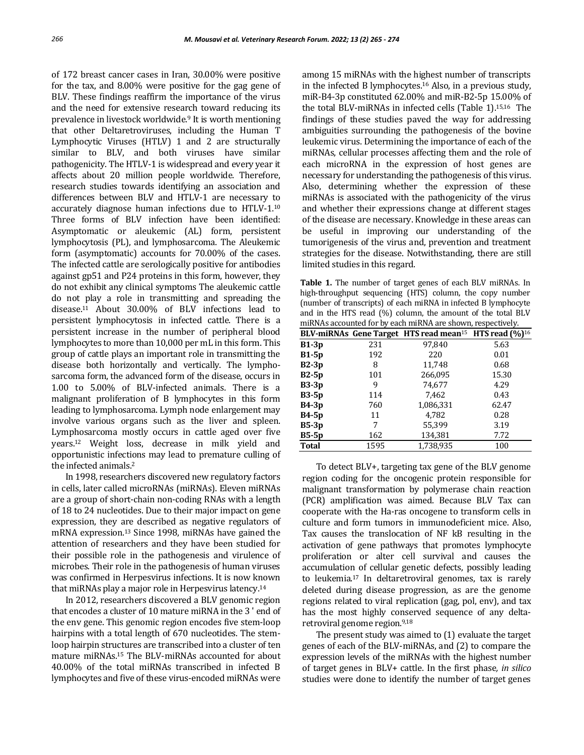of 172 breast cancer cases in Iran, 30.00% were positive for the tax, and 8.00% were positive for the gag gene of BLV. These findings reaffirm the importance of the virus and the need for extensive research toward reducing its prevalence in livestock worldwide.<sup>9</sup> It is worth mentioning that other Deltaretroviruses, including the Human T Lymphocytic Viruses (HTLV) 1 and 2 are structurally similar to BLV, and both viruses have similar pathogenicity. The HTLV-1 is widespread and every year it affects about 20 million people worldwide. Therefore, research studies towards identifying an association and differences between BLV and HTLV-1 are necessary to accurately diagnose human infections due to HTLV-1.<sup>10</sup> Three forms of BLV infection have been identified: Asymptomatic or aleukemic (AL) form, persistent lymphocytosis (PL), and lymphosarcoma. The Aleukemic form (asymptomatic) accounts for 70.00% of the cases. The infected cattle are serologically positive for antibodies against gp51 and P24 proteins in this form, however, they do not exhibit any clinical symptoms The aleukemic cattle do not play a role in transmitting and spreading the disease.<sup>11</sup> About 30.00% of BLV infections lead to persistent lymphocytosis in infected cattle. There is a persistent increase in the number of peripheral blood lymphocytes to more than 10,000 per mL in this form. This group of cattle plays an important role in transmitting the disease both horizontally and vertically. The lymphosarcoma form, the advanced form of the disease, occurs in 1.00 to 5.00% of BLV-infected animals. There is a malignant proliferation of B lymphocytes in this form leading to lymphosarcoma. Lymph node enlargement may involve various organs such as the liver and spleen. Lymphosarcoma mostly occurs in cattle aged over five years.<sup>12</sup> Weight loss, decrease in milk yield and opportunistic infections may lead to premature culling of the infected animals.<sup>2</sup>

In 1998, researchers discovered new regulatory factors in cells, later called microRNAs (miRNAs). Eleven miRNAs are a group of short-chain non-coding RNAs with a length of 18 to 24 nucleotides. Due to their major impact on gene expression, they are described as negative regulators of mRNA expression.<sup>13</sup> Since 1998, miRNAs have gained the attention of researchers and they have been studied for their possible role in the pathogenesis and virulence of microbes. Their role in the pathogenesis of human viruses was confirmed in Herpesvirus infections. It is now known that miRNAs play a major role in Herpesvirus latency.<sup>14</sup>

In 2012, researchers discovered a BLV genomic region that encodes a cluster of 10 mature miRNA in the 3 ' end of the env gene. This genomic region encodes five stem-loop hairpins with a total length of 670 nucleotides. The stemloop hairpin structures are transcribed into a cluster of ten mature miRNAs.<sup>15</sup> The BLV-miRNAs accounted for about 40.00% of the total miRNAs transcribed in infected B lymphocytes and five of these virus-encoded miRNAs were

among 15 miRNAs with the highest number of transcripts in the infected B lymphocytes.<sup>16</sup> Also, in a previous study, miR-B4-3p constituted 62.00% and miR-B2-5p 15.00% of the total BLV-miRNAs in infected cells (Table 1).15,16 The findings of these studies paved the way for addressing ambiguities surrounding the pathogenesis of the bovine leukemic virus. Determining the importance of each of the miRNAs, cellular processes affecting them and the role of each microRNA in the expression of host genes are necessary for understanding the pathogenesis of this virus. Also, determining whether the expression of these miRNAs is associated with the pathogenicity of the virus and whether their expressions change at different stages of the disease are necessary. Knowledge in these areas can be useful in improving our understanding of the tumorigenesis of the virus and, prevention and treatment strategies for the disease. Notwithstanding, there are still limited studies in this regard.

**Table 1.** The number of target genes of each BLV miRNAs. In high-throughput sequencing (HTS) column, the copy number (number of transcripts) of each miRNA in infected B lymphocyte and in the HTS read (%) column, the amount of the total BLV miRNAs accounted for by each miRNA are shown, respectively.

|              |      | BLV-miRNAs Gene Target HTS read mean <sup>15</sup> HTS read $(\%)^{16}$ |       |
|--------------|------|-------------------------------------------------------------------------|-------|
| $B1-3p$      | 231  | 97,840                                                                  | 5.63  |
| $B1-5p$      | 192  | 220                                                                     | 0.01  |
| $B2-3p$      | 8    | 11,748                                                                  | 0.68  |
| $B2-5p$      | 101  | 266,095                                                                 | 15.30 |
| $B3-3p$      | 9    | 74,677                                                                  | 4.29  |
| <b>B3-5p</b> | 114  | 7,462                                                                   | 0.43  |
| <b>B4-3p</b> | 760  | 1,086,331                                                               | 62.47 |
| <b>B4-5p</b> | 11   | 4,782                                                                   | 0.28  |
| $B5-3p$      | 7    | 55,399                                                                  | 3.19  |
| $B5-5p$      | 162  | 134,381                                                                 | 7.72  |
| <b>Total</b> | 1595 | 1,738,935                                                               | 100   |

To detect BLV+, targeting tax gene of the BLV genome region coding for the oncogenic protein responsible for malignant transformation by polymerase chain reaction (PCR) amplification was aimed. Because BLV Tax can cooperate with the Ha-ras oncogene to transform cells in culture and form tumors in immunodeficient mice. Also, Tax causes the translocation of NF kB resulting in the activation of gene pathways that promotes lymphocyte proliferation or alter cell survival and causes the accumulation of cellular genetic defects, possibly leading to leukemia.<sup>17</sup> In deltaretroviral genomes, tax is rarely deleted during disease progression, as are the genome regions related to viral replication (gag, pol, env), and tax has the most highly conserved sequence of any deltaretroviral genome region.9,18

The present study was aimed to (1) evaluate the target genes of each of the BLV-miRNAs, and (2) to compare the expression levels of the miRNAs with the highest number of target genes in BLV+ cattle. In the first phase*, in silico* studies were done to identify the number of target genes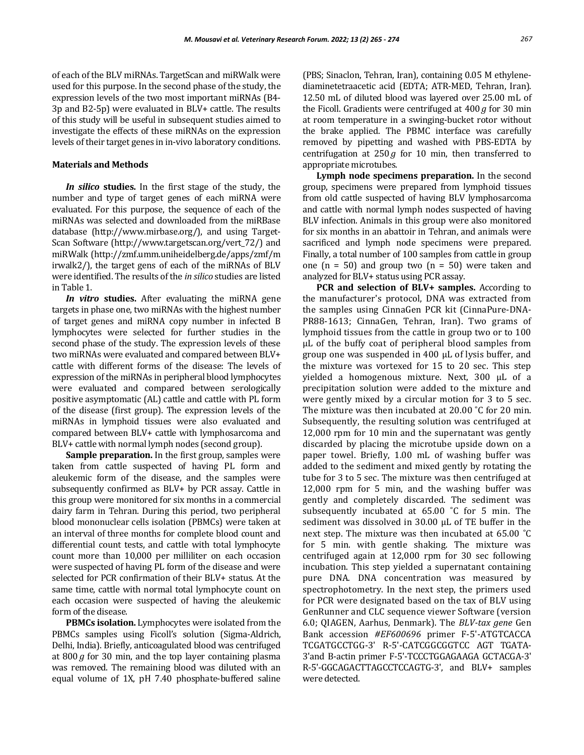of each of the BLV miRNAs. TargetScan and miRWalk were used for this purpose. In the second phase of the study, the expression levels of the two most important miRNAs (B4- 3p and B2-5p) were evaluated in BLV+ cattle. The results of this study will be useful in subsequent studies aimed to investigate the effects of these miRNAs on the expression levels of their target genes in in-vivo laboratory conditions.

### **Materials and Methods**

*In silico* **studies.** In the first stage of the study, the number and type of target genes of each miRNA were evaluated. For this purpose, the sequence of each of the miRNAs was selected and downloaded from the miRBase database (http://www.mirbase.org/), and using Target-Scan Software (http://www.targetscan.org/vert\_72/) and miRWalk (http://zmf.umm.uniheidelberg.de/apps/zmf/m irwalk2/), the target gens of each of the miRNAs of BLV were identified. The results of the *in silico* studies are listed in Table 1.

*In vitro* **studies.** After evaluating the miRNA gene targets in phase one, two miRNAs with the highest number of target genes and miRNA copy number in infected B lymphocytes were selected for further studies in the second phase of the study. The expression levels of these two miRNAs were evaluated and compared between BLV+ cattle with different forms of the disease: The levels of expression of the miRNAs in peripheral blood lymphocytes were evaluated and compared between serologically positive asymptomatic (AL) cattle and cattle with PL form of the disease (first group). The expression levels of the miRNAs in lymphoid tissues were also evaluated and compared between BLV+ cattle with lymphosarcoma and BLV+ cattle with normal lymph nodes (second group).

**Sample preparation.** In the first group, samples were taken from cattle suspected of having PL form and aleukemic form of the disease, and the samples were subsequently confirmed as BLV+ by PCR assay. Cattle in this group were monitored for six months in a commercial dairy farm in Tehran. During this period, two peripheral blood mononuclear cells isolation (PBMCs) were taken at an interval of three months for complete blood count and differential count tests, and cattle with total lymphocyte count more than 10,000 per milliliter on each occasion were suspected of having PL form of the disease and were selected for PCR confirmation of their BLV+ status. At the same time, cattle with normal total lymphocyte count on each occasion were suspected of having the aleukemic form of the disease.

**PBMCs isolation.** Lymphocytes were isolated from the PBMCs samples using Ficoll's solution (Sigma-Aldrich, Delhi, India). Briefly, anticoagulated blood was centrifuged at 800*g* for 30 min, and the top layer containing plasma was removed. The remaining blood was diluted with an equal volume of 1X, pH 7.40 phosphate-buffered saline

(PBS; Sinaclon, Tehran, Iran), containing 0.05 M ethylenediaminetetraacetic acid (EDTA; ATR-MED, Tehran, Iran). 12.50 mL of diluted blood was layered over 25.00 mL of the Ficoll. Gradients were centrifuged at 400 *g* for 30 min at room temperature in a swinging-bucket rotor without the brake applied. The PBMC interface was carefully removed by pipetting and washed with PBS-EDTA by centrifugation at 250 *g* for 10 min, then transferred to appropriate microtubes.

**Lymph node specimens preparation.** In the second group, specimens were prepared from lymphoid tissues from old cattle suspected of having BLV lymphosarcoma and cattle with normal lymph nodes suspected of having BLV infection. Animals in this group were also monitored for six months in an abattoir in Tehran, and animals were sacrificed and lymph node specimens were prepared. Finally, a total number of 100 samples from cattle in group one  $(n = 50)$  and group two  $(n = 50)$  were taken and analyzed for BLV+ status using PCR assay.

**PCR and selection of BLV+ samples.** According to the manufacturer's protocol, DNA was extracted from the samples using CinnaGen PCR kit (CinnaPure-DNA-PR88-1613; CinnaGen, Tehran, Iran). Two grams of lymphoid tissues from the cattle in group two or to 100 µL of the buffy coat of peripheral blood samples from group one was suspended in 400 µL of lysis buffer, and the mixture was vortexed for 15 to 20 sec. This step yielded a homogenous mixture. Next, 300 µL of a precipitation solution were added to the mixture and were gently mixed by a circular motion for 3 to 5 sec. The mixture was then incubated at 20.00 ˚C for 20 min. Subsequently, the resulting solution was centrifuged at 12,000 rpm for 10 min and the supernatant was gently discarded by placing the microtube upside down on a paper towel. Briefly, 1.00 mL of washing buffer was added to the sediment and mixed gently by rotating the tube for 3 to 5 sec. The mixture was then centrifuged at 12,000 rpm for 5 min, and the washing buffer was gently and completely discarded. The sediment was subsequently incubated at 65.00 ˚C for 5 min. The sediment was dissolved in 30.00 μL of TE buffer in the next step. The mixture was then incubated at 65.00 ˚C for 5 min. with gentle shaking. The mixture was centrifuged again at 12,000 rpm for 30 sec following incubation. This step yielded a supernatant containing pure DNA. DNA concentration was measured by spectrophotometry. In the next step, the primers used for PCR were designated based on the tax of BLV using GenRunner and CLC sequence viewer Software (version 6.0; QIAGEN, Aarhus, Denmark). The *BLV-tax gene* Gen Bank accession *#EF600696* primer F-5'-ATGTCACCA TCGATGCCTGG-3' R-5'-CATCGGCGGTCC AGT TGATA-3'and B-actin primer F-5'-TCCCTGGAGAAGA GCTACGA-3' R-5'-GGCAGACTTAGCCTCCAGTG-3', and BLV+ samples were detected.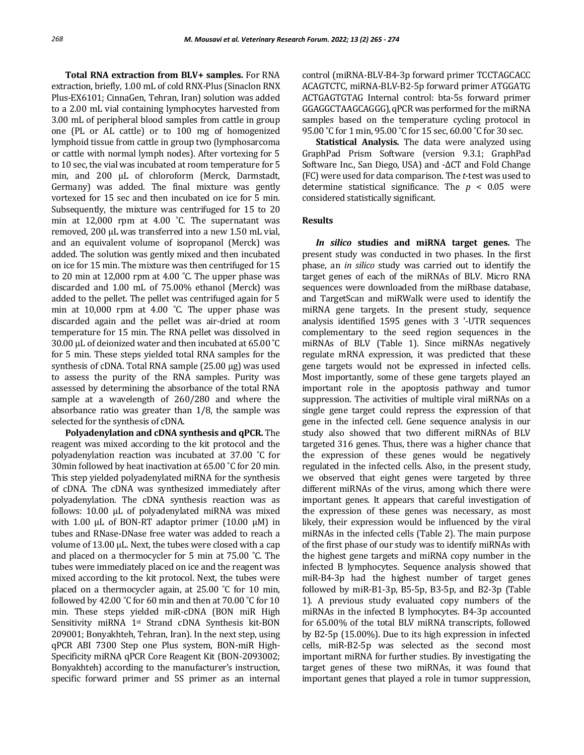**Total RNA extraction from BLV+ samples.** For RNA extraction, briefly, 1.00 mL of cold RNX-Plus (Sinaclon RNX Plus-EX6101; CinnaGen, Tehran, Iran) solution was added to a 2.00 mL vial containing lymphocytes harvested from 3.00 mL of peripheral blood samples from cattle in group one (PL or AL cattle) or to 100 mg of homogenized lymphoid tissue from cattle in group two (lymphosarcoma or cattle with normal lymph nodes). After vortexing for 5 to 10 sec, the vial was incubated at room temperature for 5 min, and 200 μL of chloroform (Merck, Darmstadt, Germany) was added. The final mixture was gently vortexed for 15 sec and then incubated on ice for 5 min. Subsequently, the mixture was centrifuged for 15 to 20 min at 12,000 rpm at 4.00 °C. The supernatant was removed, 200 μL was transferred into a new 1.50 mL vial, and an equivalent volume of isopropanol (Merck) was added. The solution was gently mixed and then incubated on ice for 15 min. The mixture was then centrifuged for 15 to 20 min at 12,000 rpm at 4.00 ˚C. The upper phase was discarded and 1.00 mL of 75.00% ethanol (Merck) was added to the pellet. The pellet was centrifuged again for 5 min at 10,000 rpm at 4.00 ˚C. The upper phase was discarded again and the pellet was air-dried at room temperature for 15 min. The RNA pellet was dissolved in 30.00 μL of deionized water and then incubated at 65.00 ˚C for 5 min. These steps yielded total RNA samples for the synthesis of cDNA. Total RNA sample (25.00 μg) was used to assess the purity of the RNA samples. Purity was assessed by determining the absorbance of the total RNA sample at a wavelength of 260/280 and where the absorbance ratio was greater than 1/8, the sample was selected for the synthesis of cDNA.

**Polyadenylation and cDNA synthesis and qPCR.** The reagent was mixed according to the kit protocol and the polyadenylation reaction was incubated at 37.00 ˚C for 30min followed by heat inactivation at 65.00 ˚C for 20 min. This step yielded polyadenylated miRNA for the synthesis of cDNA. The cDNA was synthesized immediately after polyadenylation. The cDNA synthesis reaction was as follows: 10.00 μL of polyadenylated miRNA was mixed with 1.00 μL of BON-RT adaptor primer (10.00 μM) in tubes and RNase-DNase free water was added to reach a volume of 13.00 μL. Next, the tubes were closed with a cap and placed on a thermocycler for 5 min at 75.00 ˚C. The tubes were immediately placed on ice and the reagent was mixed according to the kit protocol. Next, the tubes were placed on a thermocycler again, at 25.00 ˚C for 10 min, followed by 42.00 °C for 60 min and then at 70.00 °C for 10 min. These steps yielded miR-cDNA (BON miR High Sensitivity miRNA 1st Strand cDNA Synthesis kit-BON 209001; Bonyakhteh, Tehran, Iran). In the next step, using qPCR ABI 7300 Step one Plus system, BON-miR High-Specificity miRNA qPCR Core Reagent Kit (BON-2093002; Bonyakhteh) according to the manufacturer's instruction, specific forward primer and 5S primer as an internal control (miRNA-BLV-B4-3p forward primer TCCTAGCACC ACAGTCTC, miRNA-BLV-B2-5p forward primer ATGGATG ACTGAGTGTAG Internal control: bta-5s forward primer GGAGGCTAAGCAGGG), qPCR was performed for the miRNA samples based on the temperature cycling protocol in 95.00 °C for 1 min, 95.00 °C for 15 sec, 60.00 °C for 30 sec.

**Statistical Analysis.** The data were analyzed using GraphPad Prism Software (version 9.3.1; GraphPad Software Inc., San Diego, USA) and -∆CT and Fold Change (FC) were used for data comparison. The *t*-test was used to determine statistical significance. The  $p < 0.05$  were considered statistically significant.

## **Results**

*In silico* **studies and miRNA target genes.** The present study was conducted in two phases. In the first phase, an *in silico* study was carried out to identify the target genes of each of the miRNAs of BLV. Micro RNA sequences were downloaded from the miRbase database, and TargetScan and miRWalk were used to identify the miRNA gene targets. In the present study, sequence analysis identified 1595 genes with 3 '-UTR sequences complementary to the seed region sequences in the miRNAs of BLV (Table 1). Since miRNAs negatively regulate mRNA expression, it was predicted that these gene targets would not be expressed in infected cells. Most importantly, some of these gene targets played an important role in the apoptosis pathway and tumor suppression. The activities of multiple viral miRNAs on a single gene target could repress the expression of that gene in the infected cell. Gene sequence analysis in our study also showed that two different miRNAs of BLV targeted 316 genes. Thus, there was a higher chance that the expression of these genes would be negatively regulated in the infected cells. Also, in the present study, we observed that eight genes were targeted by three different miRNAs of the virus, among which there were important genes. It appears that careful investigation of the expression of these genes was necessary, as most likely, their expression would be influenced by the viral miRNAs in the infected cells (Table 2). The main purpose of the first phase of our study was to identify miRNAs with the highest gene targets and miRNA copy number in the infected B lymphocytes. Sequence analysis showed that miR-B4-3p had the highest number of target genes followed by miR-B1-3p, B5-5p, B3-5p, and B2-3p (Table 1). A previous study evaluated copy numbers of the miRNAs in the infected B lymphocytes. B4-3p accounted for 65.00% of the total BLV miRNA transcripts, followed by B2-5p (15.00%). Due to its high expression in infected cells, miR-B2-5p was selected as the second most important miRNA for further studies. By investigating the target genes of these two miRNAs, it was found that important genes that played a role in tumor suppression,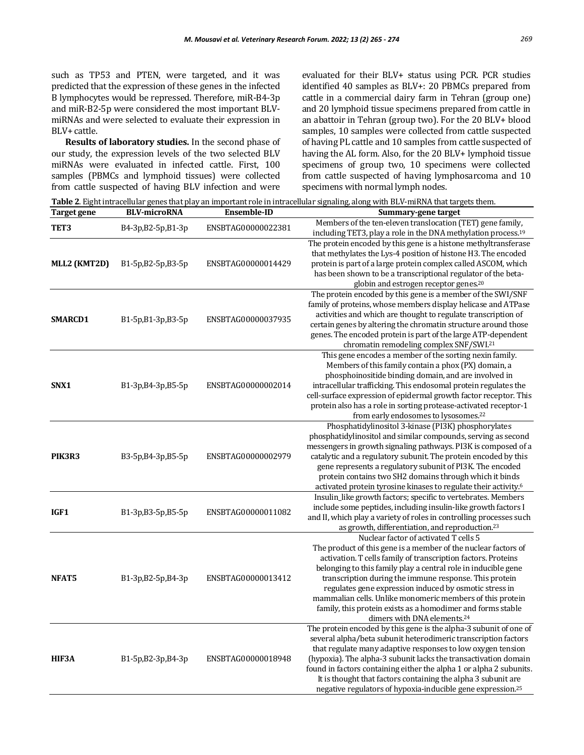such as TP53 and PTEN, were targeted, and it was predicted that the expression of these genes in the infected B lymphocytes would be repressed. Therefore, miR-B4-3p and miR-B2-5p were considered the most important BLVmiRNAs and were selected to evaluate their expression in BLV+ cattle.

**Results of laboratory studies.** In the second phase of our study, the expression levels of the two selected BLV miRNAs were evaluated in infected cattle. First, 100 samples (PBMCs and lymphoid tissues) were collected from cattle suspected of having BLV infection and were

evaluated for their BLV+ status using PCR. PCR studies identified 40 samples as BLV+: 20 PBMCs prepared from cattle in a commercial dairy farm in Tehran (group one) and 20 lymphoid tissue specimens prepared from cattle in an abattoir in Tehran (group two). For the 20 BLV+ blood samples, 10 samples were collected from cattle suspected of having PL cattle and 10 samples from cattle suspected of having the AL form. Also, for the 20 BLV+ lymphoid tissue specimens of group two, 10 specimens were collected from cattle suspected of having lymphosarcoma and 10 specimens with normal lymph nodes.

**Table 2**. Eight intracellular genes that play an important role in intracellular signaling, along with BLV-miRNA that targets them.

| Target gene    | <b>BLV-microRNA</b> | <b>Ensemble-ID</b> | Summary-gene target                                                                                                                                                                                                                                                                                                                                                                                                                                                                                                                   |
|----------------|---------------------|--------------------|---------------------------------------------------------------------------------------------------------------------------------------------------------------------------------------------------------------------------------------------------------------------------------------------------------------------------------------------------------------------------------------------------------------------------------------------------------------------------------------------------------------------------------------|
| TET3           | B4-3p, B2-5p, B1-3p | ENSBTAG00000022381 | Members of the ten-eleven translocation (TET) gene family,<br>including TET3, play a role in the DNA methylation process. <sup>19</sup>                                                                                                                                                                                                                                                                                                                                                                                               |
| MLL2 (KMT2D)   | $B1-5p,B2-5p,B3-5p$ | ENSBTAG00000014429 | The protein encoded by this gene is a histone methyltransferase<br>that methylates the Lys-4 position of histone H3. The encoded<br>protein is part of a large protein complex called ASCOM, which<br>has been shown to be a transcriptional regulator of the beta-<br>globin and estrogen receptor genes. <sup>20</sup>                                                                                                                                                                                                              |
| <b>SMARCD1</b> | B1-5p,B1-3p,B3-5p   | ENSBTAG00000037935 | The protein encoded by this gene is a member of the SWI/SNF<br>family of proteins, whose members display helicase and ATPase<br>activities and which are thought to regulate transcription of<br>certain genes by altering the chromatin structure around those<br>genes. The encoded protein is part of the large ATP-dependent<br>chromatin remodeling complex SNF/SWI.21                                                                                                                                                           |
| SNX1           | B1-3p,B4-3p,B5-5p   | ENSBTAG00000002014 | This gene encodes a member of the sorting nexin family.<br>Members of this family contain a phox (PX) domain, a<br>phosphoinositide binding domain, and are involved in<br>intracellular trafficking. This endosomal protein regulates the<br>cell-surface expression of epidermal growth factor receptor. This<br>protein also has a role in sorting protease-activated receptor-1<br>from early endosomes to lysosomes. <sup>22</sup>                                                                                               |
| PIK3R3         | B3-5p, B4-3p, B5-5p | ENSBTAG00000002979 | Phosphatidylinositol 3-kinase (PI3K) phosphorylates<br>phosphatidylinositol and similar compounds, serving as second<br>messengers in growth signaling pathways. PI3K is composed of a<br>catalytic and a regulatory subunit. The protein encoded by this<br>gene represents a regulatory subunit of PI3K. The encoded<br>protein contains two SH2 domains through which it binds<br>activated protein tyrosine kinases to regulate their activity. <sup>6</sup>                                                                      |
| IGF1           | $B1-3p,B3-5p,B5-5p$ | ENSBTAG00000011082 | Insulin_like growth factors; specific to vertebrates. Members<br>include some peptides, including insulin-like growth factors I<br>and II, which play a variety of roles in controlling processes such<br>as growth, differentiation, and reproduction. <sup>23</sup>                                                                                                                                                                                                                                                                 |
| NFAT5          | B1-3p, B2-5p, B4-3p | ENSBTAG00000013412 | Nuclear factor of activated T cells 5<br>The product of this gene is a member of the nuclear factors of<br>activation. T cells family of transcription factors. Proteins<br>belonging to this family play a central role in inducible gene<br>transcription during the immune response. This protein<br>regulates gene expression induced by osmotic stress in<br>mammalian cells. Unlike monomeric members of this protein<br>family, this protein exists as a homodimer and forms stable<br>dimers with DNA elements. <sup>24</sup> |
| HIF3A          | B1-5p, B2-3p, B4-3p | ENSBTAG00000018948 | The protein encoded by this gene is the alpha-3 subunit of one of<br>several alpha/beta subunit heterodimeric transcription factors<br>that regulate many adaptive responses to low oxygen tension<br>(hypoxia). The alpha-3 subunit lacks the transactivation domain<br>found in factors containing either the alpha 1 or alpha 2 subunits.<br>It is thought that factors containing the alpha 3 subunit are<br>negative regulators of hypoxia-inducible gene expression. <sup>25</sup>                                              |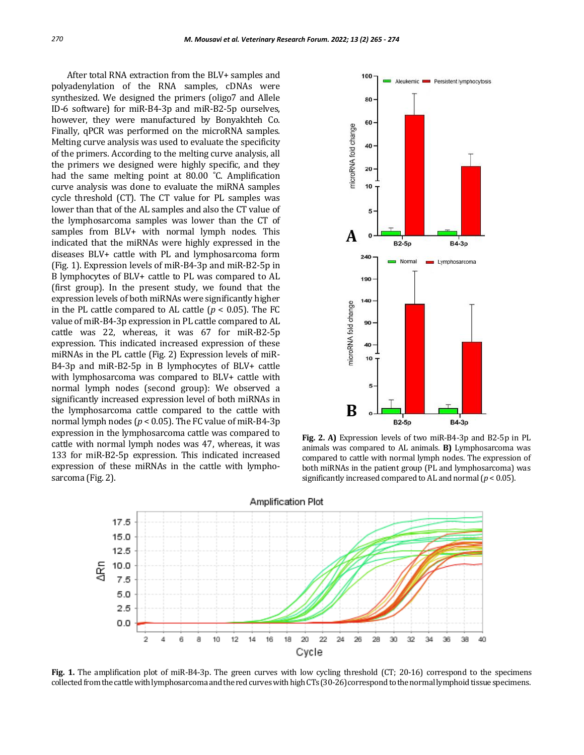After total RNA extraction from the BLV+ samples and polyadenylation of the RNA samples, cDNAs were synthesized. We designed the primers (oligo7 and Allele ID-6 software) for miR-B4-3p and miR-B2-5p ourselves, however, they were manufactured by Bonyakhteh Co. Finally, qPCR was performed on the microRNA samples. Melting curve analysis was used to evaluate the specificity of the primers. According to the melting curve analysis, all the primers we designed were highly specific, and they had the same melting point at 80.00 ˚C. Amplification curve analysis was done to evaluate the miRNA samples cycle threshold (CT). The CT value for PL samples was lower than that of the AL samples and also the CT value of the lymphosarcoma samples was lower than the CT of samples from BLV+ with normal lymph nodes. This indicated that the miRNAs were highly expressed in the diseases BLV+ cattle with PL and lymphosarcoma form (Fig. 1). Expression levels of miR-B4-3p and miR-B2-5p in B lymphocytes of BLV+ cattle to PL was compared to AL (first group). In the present study, we found that the expression levels of both miRNAs were significantly higher in the PL cattle compared to AL cattle  $(p < 0.05)$ . The FC value of miR-B4-3p expression in PL cattle compared to AL cattle was 22, whereas, it was 67 for miR-B2-5p expression. This indicated increased expression of these miRNAs in the PL cattle (Fig. 2) Expression levels of miR-B4-3p and miR-B2-5p in B lymphocytes of BLV+ cattle with lymphosarcoma was compared to BLV+ cattle with normal lymph nodes (second group): We observed a significantly increased expression level of both miRNAs in the lymphosarcoma cattle compared to the cattle with normal lymph nodes ( $p < 0.05$ ). The FC value of miR-B4-3p expression in the lymphosarcoma cattle was compared to cattle with normal lymph nodes was 47, whereas, it was 133 for miR-B2-5p expression. This indicated increased expression of these miRNAs in the cattle with lymphosarcoma (Fig. 2).



**Fig. 2. A)** Expression levels of two miR-B4-3p and B2-5p in PL animals was compared to AL animals. **B)** Lymphosarcoma was compared to cattle with normal lymph nodes. The expression of both miRNAs in the patient group (PL and lymphosarcoma) was significantly increased compared to AL and normal (*p* < 0.05).



**Fig. 1.** The amplification plot of miR-B4-3p. The green curves with low cycling threshold (CT; 20-16) correspond to the specimens collected from the cattle with lymphosarcoma and the red curves with high CTs (30-26) correspond to the normal lymphoid tissue specimens.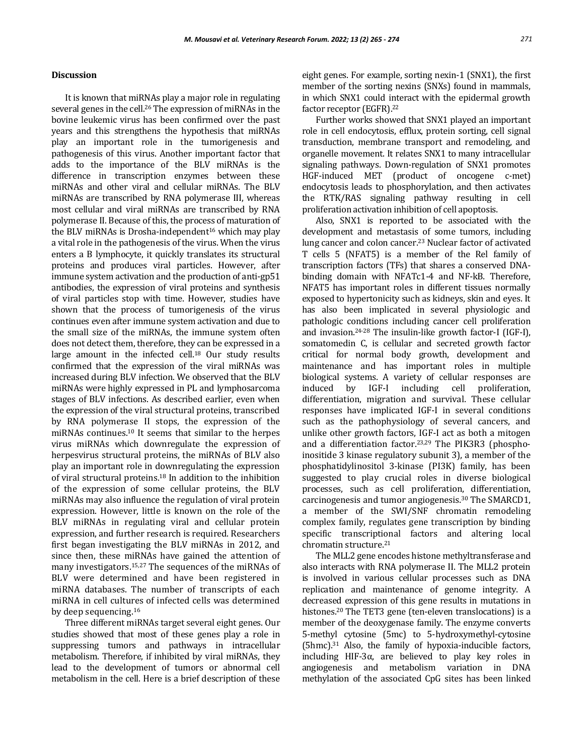# **Discussion**

It is known that miRNAs play a major role in regulating several genes in the cell.<sup>26</sup> The expression of miRNAs in the bovine leukemic virus has been confirmed over the past years and this strengthens the hypothesis that miRNAs play an important role in the tumorigenesis and pathogenesis of this virus. Another important factor that adds to the importance of the BLV miRNAs is the difference in transcription enzymes between these miRNAs and other viral and cellular miRNAs. The BLV miRNAs are transcribed by RNA polymerase III, whereas most cellular and viral miRNAs are transcribed by RNA polymerase II. Because of this, the process of maturation of the BLV miRNAs is Drosha-independent<sup>16</sup> which may play a vital role in the pathogenesis of the virus. When the virus enters a B lymphocyte, it quickly translates its structural proteins and produces viral particles. However, after immune system activation and the production of anti-gp51 antibodies, the expression of viral proteins and synthesis of viral particles stop with time. However, studies have shown that the process of tumorigenesis of the virus continues even after immune system activation and due to the small size of the miRNAs, the immune system often does not detect them, therefore, they can be expressed in a large amount in the infected cell.<sup>18</sup> Our study results confirmed that the expression of the viral miRNAs was increased during BLV infection. We observed that the BLV miRNAs were highly expressed in PL and lymphosarcoma stages of BLV infections. As described earlier, even when the expression of the viral structural proteins, transcribed by RNA polymerase II stops, the expression of the miRNAs continues.<sup>10</sup> It seems that similar to the herpes virus miRNAs which downregulate the expression of herpesvirus structural proteins, the miRNAs of BLV also play an important role in downregulating the expression of viral structural proteins.<sup>18</sup> In addition to the inhibition of the expression of some cellular proteins, the BLV miRNAs may also influence the regulation of viral protein expression. However, little is known on the role of the BLV miRNAs in regulating viral and cellular protein expression, and further research is required. Researchers first began investigating the BLV miRNAs in 2012, and since then, these miRNAs have gained the attention of many investigators.15,27 The sequences of the miRNAs of BLV were determined and have been registered in miRNA databases. The number of transcripts of each miRNA in cell cultures of infected cells was determined by deep sequencing.<sup>16</sup>

Three different miRNAs target several eight genes. Our studies showed that most of these genes play a role in suppressing tumors and pathways in intracellular metabolism. Therefore, if inhibited by viral miRNAs, they lead to the development of tumors or abnormal cell metabolism in the cell. Here is a brief description of these eight genes. For example, sorting nexin-1 (SNX1), the first member of the sorting nexins (SNXs) found in mammals, in which SNX1 could interact with the epidermal growth factor receptor (EGFR).<sup>22</sup>

Further works showed that SNX1 played an important role in cell endocytosis, efflux, protein sorting, cell signal transduction, membrane transport and remodeling, and organelle movement. It relates SNX1 to many intracellular signaling pathways. Down-regulation of SNX1 promotes HGF-induced MET (product of oncogene c-met) endocytosis leads to phosphorylation, and then activates the RTK/RAS signaling pathway resulting in cell proliferation activation inhibition of cell apoptosis.

Also, SNX1 is reported to be associated with the development and metastasis of some tumors, including lung cancer and colon cancer.<sup>23</sup> Nuclear factor of activated T cells 5 (NFAT5) is a member of the Rel family of transcription factors (TFs) that shares a conserved DNAbinding domain with NFATc1-4 and NF-kB. Therefore, NFAT5 has important roles in different tissues normally exposed to hypertonicity such as kidneys, skin and eyes. It has also been implicated in several physiologic and pathologic conditions including cancer cell proliferation and invasion.24-28 The insulin-like growth factor-I (IGF-I), somatomedin C, is cellular and secreted growth factor critical for normal body growth, development and maintenance and has important roles in multiple biological systems. A variety of cellular responses are induced by IGF-I including cell proliferation, differentiation, migration and survival. These cellular responses have implicated IGF-I in several conditions such as the pathophysiology of several cancers, and unlike other growth factors, IGF-I act as both a mitogen and a differentiation factor.23,29 The PIK3R3 (phosphoinositide 3 kinase regulatory subunit 3), a member of the phosphatidylinositol 3-kinase (PI3K) family, has been suggested to play crucial roles in diverse biological processes, such as cell proliferation, differentiation, carcinogenesis and tumor angiogenesis.<sup>30</sup> The SMARCD1, a member of the SWI/SNF chromatin remodeling complex family, regulates gene transcription by binding specific transcriptional factors and altering local chromatin structure.<sup>21</sup>

The MLL2 gene encodes histone methyltransferase and also interacts with RNA polymerase II. The MLL2 protein is involved in various cellular processes such as DNA replication and maintenance of genome integrity. A decreased expression of this gene results in mutations in histones.<sup>20</sup> The TET3 gene (ten-eleven translocations) is a member of the deoxygenase family. The enzyme converts 5-methyl cytosine (5mc) to 5-hydroxymethyl-cytosine (5hmc).<sup>31</sup> Also, the family of hypoxia-inducible factors, including HIF-3 $\alpha$ , are believed to play key roles in angiogenesis and metabolism variation in DNA methylation of the associated CpG sites has been linked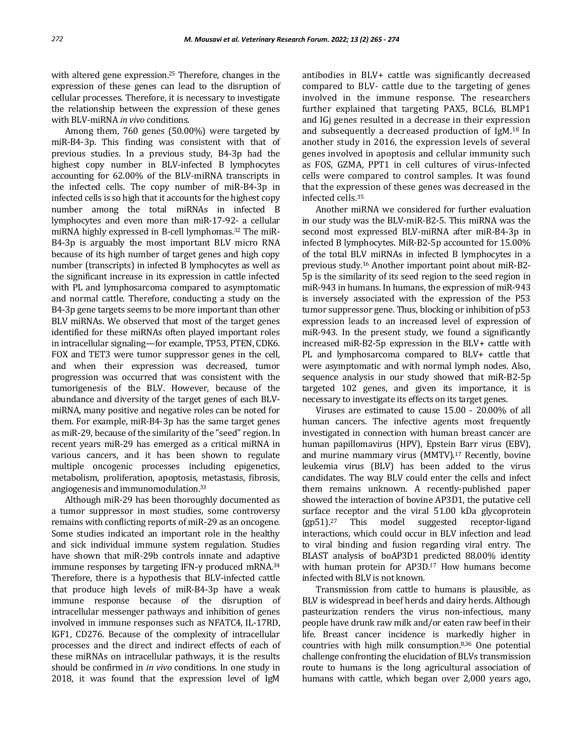with altered gene expression.<sup>25</sup> Therefore, changes in the expression of these genes can lead to the disruption of cellular processes. Therefore, it is necessary to investigate the relationship between the expression of these genes with BLV-miRNA *in vivo* conditions.

Among them, 760 genes (50.00%) were targeted by miR-B4-3p. This finding was consistent with that of previous studies. In a previous study, B4-3p had the highest copy number in BLV-infected B lymphocytes accounting for 62.00% of the BLV-miRNA transcripts in the infected cells. The copy number of miR-B4-3p in infected cells is so high that it accounts for the highest copy number among the total miRNAs in infected B lymphocytes and even more than miR-17-92- a cellular miRNA highly expressed in B-cell lymphomas.<sup>32</sup> The miR-B4-3p is arguably the most important BLV micro RNA because of its high number of target genes and high copy number (transcripts) in infected B lymphocytes as well as the significant increase in its expression in cattle infected with PL and lymphosarcoma compared to asymptomatic and normal cattle. Therefore, conducting a study on the B4-3p gene targets seems to be more important than other BLV miRNAs. We observed that most of the target genes identified for these miRNAs often played important roles in intracellular signaling—for example, TP53, PTEN, CDK6. FOX and TET3 were tumor suppressor genes in the cell, and when their expression was decreased, tumor progression was occurred that was consistent with the tumorigenesis of the BLV. However, because of the abundance and diversity of the target genes of each BLVmiRNA, many positive and negative roles can be noted for them. For example, miR-B4-3p has the same target genes as miR-29, because of the similarity of the "seed" region. In recent years miR-29 has emerged as a critical miRNA in various cancers, and it has been shown to regulate multiple oncogenic processes including epigenetics, metabolism, proliferation, apoptosis, metastasis, fibrosis, angiogenesis and immunomodulation.<sup>33</sup>

Although miR-29 has been thoroughly documented as a tumor suppressor in most studies, some controversy remains with conflicting reports of miR-29 as an oncogene. Some studies indicated an important role in the healthy and sick individual immune system regulation. Studies have shown that miR‐29b controls innate and adaptive immune responses by targeting IFN-γ produced mRNA.<sup>34</sup> Therefore, there is a hypothesis that BLV-infected cattle that produce high levels of miR-B4-3p have a weak immune response because of the disruption of intracellular messenger pathways and inhibition of genes involved in immune responses such as NFATC4, IL-17RD, IGF1, CD276. Because of the complexity of intracellular processes and the direct and indirect effects of each of these miRNAs on intracellular pathways, it is the results should be confirmed in *in vivo* conditions. In one study in 2018, it was found that the expression level of IgM

antibodies in BLV+ cattle was significantly decreased compared to BLV- cattle due to the targeting of genes involved in the immune response. The researchers further explained that targeting PAX5, BCL6, BLMP1 and IGj genes resulted in a decrease in their expression and subsequently a decreased production of IgM.<sup>18</sup> In another study in 2016, the expression levels of several genes involved in apoptosis and cellular immunity such as FOS, GZMA, PPT1 in cell cultures of virus-infected cells were compared to control samples. It was found that the expression of these genes was decreased in the infected cells.<sup>35</sup>

Another miRNA we considered for further evaluation in our study was the BLV-miR-B2-5. This miRNA was the second most expressed BLV-miRNA after miR-B4-3p in infected B lymphocytes. MiR-B2-5p accounted for 15.00% of the total BLV miRNAs in infected B lymphocytes in a previous study.<sup>16</sup> Another important point about miR-B2- 5p is the similarity of its seed region to the seed region in miR-943 in humans. In humans, the expression of miR-943 is inversely associated with the expression of the P53 tumor suppressor gene. Thus, blocking or inhibition of p53 expression leads to an increased level of expression of miR-943. In the present study, we found a significantly increased miR-B2-5p expression in the BLV+ cattle with PL and lymphosarcoma compared to BLV+ cattle that were asymptomatic and with normal lymph nodes. Also, sequence analysis in our study showed that miR-B2-5p targeted 102 genes, and given its importance, it is necessary to investigate its effects on its target genes.

Viruses are estimated to cause 15.00 - 20.00% of all human cancers. The infective agents most frequently investigated in connection with human breast cancer are human papillomavirus (HPV), Epstein Barr virus (EBV), and murine mammary virus (MMTV).<sup>17</sup> Recently, bovine leukemia virus (BLV) has been added to the virus candidates. The way BLV could enter the cells and infect them remains unknown. A recently-published paper showed the interaction of bovine AP3D1, the putative cell surface receptor and the viral 51.00 kDa glycoprotein (gp51).<sup>27</sup> This model suggested receptor-ligand interactions, which could occur in BLV infection and lead to viral binding and fusion regarding viral entry. The BLAST analysis of boAP3D1 predicted 88.00% identity with human protein for AP3D.<sup>17</sup> How humans become infected with BLV is not known.

Transmission from cattle to humans is plausible, as BLV is widespread in beef herds and dairy herds. Although pasteurization renders the virus non-infectious, many people have drunk raw milk and/or eaten raw beef in their life. Breast cancer incidence is markedly higher in countries with high milk consumption.8,36 One potential challenge confronting the elucidation of BLVs transmission route to humans is the long agricultural association of humans with cattle, which began over 2,000 years ago,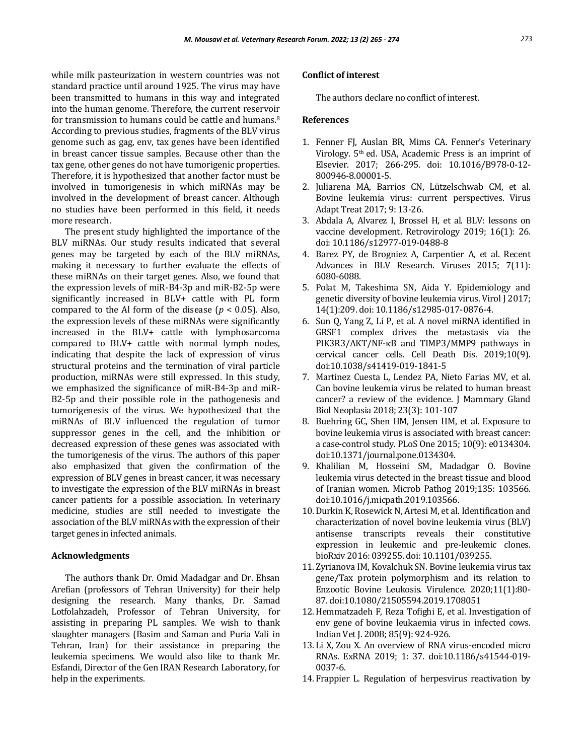while milk pasteurization in western countries was not standard practice until around 1925. The virus may have been transmitted to humans in this way and integrated into the human genome. Therefore, the current reservoir for transmission to humans could be cattle and humans.<sup>8</sup> According to previous studies, fragments of the BLV virus genome such as gag, env, tax genes have been identified in breast cancer tissue samples. Because other than the tax gene, other genes do not have tumorigenic properties. Therefore, it is hypothesized that another factor must be involved in tumorigenesis in which miRNAs may be involved in the development of breast cancer. Although no studies have been performed in this field, it needs more research.

The present study highlighted the importance of the BLV miRNAs. Our study results indicated that several genes may be targeted by each of the BLV miRNAs, making it necessary to further evaluate the effects of these miRNAs on their target genes. Also, we found that the expression levels of miR-B4-3p and miR-B2-5p were significantly increased in BLV+ cattle with PL form compared to the Al form of the disease ( $p < 0.05$ ). Also, the expression levels of these miRNAs were significantly increased in the BLV+ cattle with lymphosarcoma compared to BLV+ cattle with normal lymph nodes, indicating that despite the lack of expression of virus structural proteins and the termination of viral particle production, miRNAs were still expressed. In this study, we emphasized the significance of miR-B4-3p and miR-B2-5p and their possible role in the pathogenesis and tumorigenesis of the virus. We hypothesized that the miRNAs of BLV influenced the regulation of tumor suppressor genes in the cell, and the inhibition or decreased expression of these genes was associated with the tumorigenesis of the virus. The authors of this paper also emphasized that given the confirmation of the expression of BLV genes in breast cancer, it was necessary to investigate the expression of the BLV miRNAs in breast cancer patients for a possible association. In veterinary medicine, studies are still needed to investigate the association of the BLV miRNAs with the expression of their target genes in infected animals.

### **Acknowledgments**

The authors thank Dr. Omid Madadgar and Dr. Ehsan Arefian (professors of Tehran University) for their help designing the research. Many thanks, Dr. Samad Lotfolahzadeh, Professor of Tehran University, for assisting in preparing PL samples. We wish to thank slaughter managers (Basim and Saman and Puria Vali in Tehran, Iran) for their assistance in preparing the leukemia specimens. We would also like to thank Mr. Esfandi, Director of the Gen IRAN Research Laboratory, for help in the experiments.

# **Conflict of interest**

The authors declare no conflict of interest.

### **References**

- 1. Fenner FJ, Auslan BR, Mims CA. Fenner's Veterinary Virology. 5th ed. USA, Academic Press is an imprint of Elsevier. 2017; 266-295. doi: 10.1016/B978-0-12- 800946-8.00001-5.
- 2. Juliarena MA, Barrios CN, Lützelschwab CM, et al. Bovine leukemia virus: current perspectives. Virus Adapt Treat 2017; 9: 13-26.
- 3. Abdala A, Alvarez I, Brossel H, et al. BLV: lessons on vaccine development. Retrovirology 2019; 16(1): 26. doi: 10.1186/s12977-019-0488-8
- 4. Barez PY, de Brogniez A, Carpentier A, et al. Recent Advances in BLV Research. Viruses 2015; 7(11): 6080-6088.
- 5. Polat M, Takeshima SN, Aida Y. Epidemiology and genetic diversity of bovine leukemia virus. Virol J 2017; 14(1):209. doi: 10.1186/s12985-017-0876-4.
- 6. Sun Q, Yang Z, Li P, et al. A novel miRNA identified in GRSF1 complex drives the metastasis via the PIK3R3/AKT/NF-κB and TIMP3/MMP9 pathways in cervical cancer cells. Cell Death Dis. 2019;10(9). doi:10.1038/s41419-019-1841-5
- 7. Martinez Cuesta L, Lendez PA, Nieto Farias MV, et al. Can bovine leukemia virus be related to human breast cancer? a review of the evidence. J Mammary Gland Biol Neoplasia 2018; 23(3): 101-107
- 8. Buehring GC, Shen HM, Jensen HM, et al. Exposure to bovine leukemia virus is associated with breast cancer: a case-control study. PLoS One 2015; 10(9): e0134304. doi:10.1371/journal.pone.0134304.
- 9. Khalilian M, Hosseini SM, Madadgar O. Bovine leukemia virus detected in the breast tissue and blood of Iranian women. Microb Pathog 2019;135: 103566. doi:10.1016/j.micpath.2019.103566.
- 10. Durkin K, Rosewick N, Artesi M, et al. Identification and characterization of novel bovine leukemia virus (BLV) antisense transcripts reveals their constitutive expression in leukemic and pre-leukemic clones. bioRxiv 2016: 039255. doi: 10.1101/039255.
- 11. Zyrianova IM, Kovalchuk SN. Bovine leukemia virus tax gene/Tax protein polymorphism and its relation to Enzootic Bovine Leukosis. Virulence. 2020;11(1):80- 87. doi:10.1080/21505594.2019.1708051
- 12.Hemmatzadeh F, Reza Tofighi E, et al. Investigation of env gene of bovine leukaemia virus in infected cows. Indian Vet J. 2008; 85(9): 924-926.
- 13. Li X, Zou X. An overview of RNA virus-encoded micro RNAs. ExRNA 2019; 1: 37. doi:10.1186/s41544-019- 0037-6.
- 14. Frappier L. Regulation of herpesvirus reactivation by